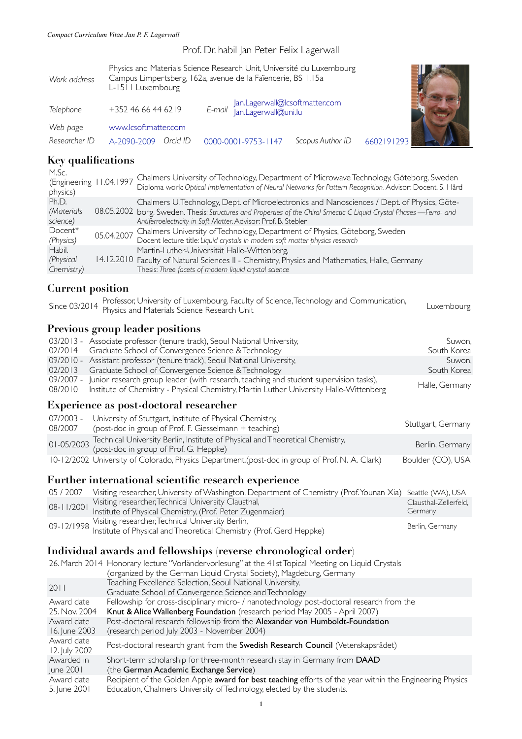### Prof. Dr. habil Jan Peter Felix Lagerwall

| Work address              | Physics and Materials Science Research Unit, Université du Luxembourg<br>Campus Limpertsberg, 162a, avenue de la Faïencerie, BS 1.15a<br>L-1511 Luxembourg |                                                               |                  |            |
|---------------------------|------------------------------------------------------------------------------------------------------------------------------------------------------------|---------------------------------------------------------------|------------------|------------|
| Telephone                 | +352 46 66 44 62 19                                                                                                                                        | Jan.Lagerwall@Icsoftmatter.com<br>E-mail Jan.Lagerwall@uni.lu |                  |            |
| Web page<br>Researcher ID | www.lcsoftmatter.com<br>A-2090-2009<br>Orcid ID                                                                                                            | 0000-0001-9753-1147                                           | Scopus Author ID | 6602191293 |

# **Key qualifications**

| M.Sc.<br>(Engineering 11.04.1997<br>physics) | Chalmers University of Technology, Department of Microwave Technology, Göteborg, Sweden<br>Diploma work: Optical Implementation of Neural Networks for Pattern Recognition. Advisor: Docent. S. Hård                                                                                  |
|----------------------------------------------|---------------------------------------------------------------------------------------------------------------------------------------------------------------------------------------------------------------------------------------------------------------------------------------|
| Ph.D.<br>(Materials<br>science)              | Chalmers U. Technology, Dept. of Microelectronics and Nanosciences / Dept. of Physics, Göte-<br>08.05.2002 borg, Sweden. Thesis: Structures and Properties of the Chiral Smectic C Liquid Crystal Phases—Ferro- and<br>Antiferroelectricity in Soft Matter. Advisor: Prof. B. Stebler |
| Docent*<br>(Physics)                         | 05.04.2007 Chalmers University of Technology, Department of Physics, Göteborg, Sweden<br>Docent lecture title: Liquid crystals in modern soft matter physics research                                                                                                                 |
| Habil.<br>(Physical<br>Chemistry)            | Martin-Luther-Universität Halle-Wittenberg,<br>14.12.2010 Faculty of Natural Sciences II - Chemistry, Physics and Mathematics, Halle, Germany<br>Thesis: Three facets of modern liquid crystal science                                                                                |

| $C$ $I$ $C$ $I$ $II$ $I$ $S$ $U$ $Y$ $I$ | THESIS. THEE JUCELS OF HIOGEN INQUID CLYSLOP SCIENCE                                                                                                                            |                                  |
|------------------------------------------|---------------------------------------------------------------------------------------------------------------------------------------------------------------------------------|----------------------------------|
| <b>Current position</b>                  |                                                                                                                                                                                 |                                  |
|                                          | Professor, University of Luxembourg, Faculty of Science, Technology and Communication,<br>Since 03/2014 Physics and Materials Science Research Unit                             | Luxembourg                       |
|                                          | <b>Previous group leader positions</b>                                                                                                                                          |                                  |
| 02/2014                                  | 03/2013 - Associate professor (tenure track), Seoul National University,<br>Graduate School of Convergence Science & Technology                                                 | Suwon,<br>South Korea            |
| 02/2013                                  | 09/2010 - Assistant professor (tenure track), Seoul National University,<br>Graduate School of Convergence Science & Technology                                                 | Suwon,<br>South Korea            |
| 09/2007 -<br>08/2010                     | Junior research group leader (with research, teaching and student supervision tasks),<br>Institute of Chemistry - Physical Chemistry, Martin Luther University Halle-Wittenberg | Halle, Germany                   |
|                                          | Experience as post-doctoral researcher                                                                                                                                          |                                  |
| 07/2003 -<br>08/2007                     | University of Stuttgart, Institute of Physical Chemistry,<br>(post-doc in group of Prof. F. Giesselmann + teaching)                                                             | Stuttgart, Germany               |
| $01 - 05/2003$                           | Technical University Berlin, Institute of Physical and Theoretical Chemistry,<br>(post-doc in group of Prof. G. Heppke)                                                         | Berlin, Germany                  |
|                                          | 10-12/2002 University of Colorado, Physics Department, (post-doc in group of Prof. N. A. Clark)                                                                                 | Boulder (CO), USA                |
|                                          | Further international scientific research experience                                                                                                                            |                                  |
| 05 / 2007                                | Visiting researcher, University of Washington, Department of Chemistry (Prof. Younan Xia)                                                                                       | Seattle (WA), USA                |
| 08-11/2001                               | Visiting researcher, Technical University Clausthal,<br>Institute of Physical Chemistry, (Prof. Peter Zugenmaier)                                                               | Clausthal-Zellerfeld,<br>Germany |
| 09-12/1998                               | Visiting researcher, Technical University Berlin,<br>Institute of Physical and Theoretical Chemistry (Prof. Gerd Heppke)                                                        | Berlin, Germany                  |
|                                          | Individual awards and fellowships (reverse chronological order)                                                                                                                 |                                  |
|                                          | 26. March 2014 Honorary lecture "Vorländervorlesung" at the 41st Topical Meeting on Liquid Crystals<br>(organized by the German Liquid Crystal Society), Magdeburg, Germany     |                                  |
| 2011                                     | Teaching Excellence Selection, Seoul National University,<br>Graduate School of Convergence Science and Technology                                                              |                                  |
| Award date<br>25. Nov. 2004              | Fellowship for cross-disciplinary micro- / nanotechnology post-doctoral research from the<br>Knut & Alice Wallenberg Foundation (research period May 2005 - April 2007)         |                                  |
| Award date<br>16. June 2003              | Post-doctoral research fellowship from the Alexander von Humboldt-Foundation<br>(research period July 2003 - November 2004)                                                     |                                  |
|                                          |                                                                                                                                                                                 |                                  |

Award date Award date Post-doctoral research grant from the **Swedish Research Council** (Vetenskapsrådet)<br>12. July 2002

Awarded in June 2001 Short-term scholarship for three-month research stay in Germany from DAAD (the German Academic Exchange Service) Award date 5. June 2001 Recipient of the Golden Apple award for best teaching efforts of the year within the Engineering Physics Education, Chalmers University of Technology, elected by the students.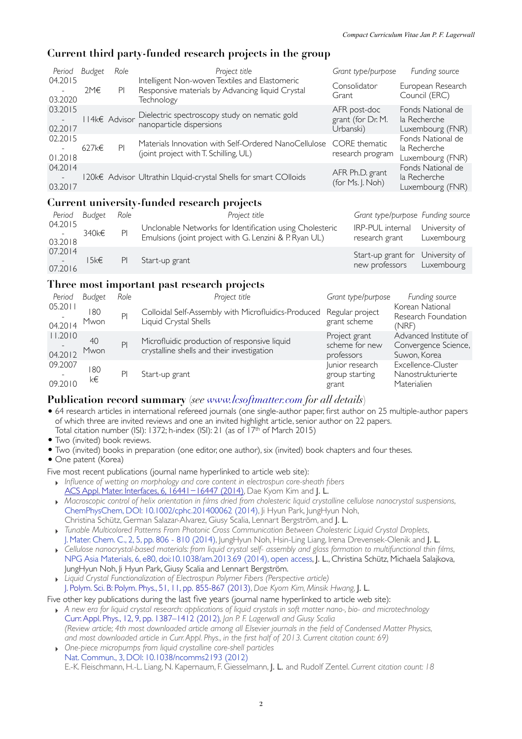## **Current third party-funded research projects in the group**

| Period Budget                |       | Role          | Project title                                                                                                    | Grant type/purpose                             | Funding source                                        |
|------------------------------|-------|---------------|------------------------------------------------------------------------------------------------------------------|------------------------------------------------|-------------------------------------------------------|
| 04.2015<br>03.2020           | 2M€   | PI.           | Intelligent Non-woven Textiles and Elastomeric<br>Responsive materials by Advancing liquid Crystal<br>Technology | Consolidator<br>Grant                          | European Research<br>Council (ERC)                    |
| 03.2015<br>02.2017           |       | II4k€ Advisor | Dielectric spectroscopy study on nematic gold<br>nanoparticle dispersions                                        | AFR post-doc<br>grant (for Dr. M.<br>Urbanski) | Fonds National de<br>la Recherche<br>Luxembourg (FNR) |
| 02.2015<br>$\sim$<br>01.2018 | 627k€ | PI            | Materials Innovation with Self-Ordered NanoCellulose CORE thematic<br>(joint project with T. Schilling, UL)      | research program                               | Fonds National de<br>la Recherche<br>Luxembourg (FNR) |
| 04.2014<br>03.2017           |       |               | 120k€ Advisor Ultrathin Llquid-crystal Shells for smart COlloids                                                 | AFR Ph.D. grant<br>(for Ms. J. Noh)            | Fonds National de<br>la Recherche<br>Luxembourg (FNR) |

## **Current university-funded research projects**

| Period Budget                              |          | Role | Project title                                                                                                      | Grant type/purpose Funding source                             |               |
|--------------------------------------------|----------|------|--------------------------------------------------------------------------------------------------------------------|---------------------------------------------------------------|---------------|
| 04.2015<br>$\sim 10^{-10}$<br>03.2018      | 340k€    |      | Unclonable Networks for Identification using Cholesteric<br>Emulsions (joint project with G. Lenzini & P. Ryan UL) | IRP-PUL internal<br>research grant Luxembourg                 | University of |
| 07.2014<br>Service Construction<br>07.2016 | $5k \in$ | PI.  | Start-up grant                                                                                                     | Start-up grant for University of<br>new professors Luxembourg |               |

## **Three most important past research projects**

| Period             | Budget      | Role           | Project title                                                                              | Grant type/purpose                            | Funding source                                                |
|--------------------|-------------|----------------|--------------------------------------------------------------------------------------------|-----------------------------------------------|---------------------------------------------------------------|
| 05.2011<br>04.2014 | 180<br>Mwon | P <sub>1</sub> | Colloidal Self-Assembly with Microfluidics-Produced<br>Liquid Crystal Shells               | Regular project<br>grant scheme               | Korean National<br>Research Foundation<br>(NRF)               |
| 11.2010<br>04.2012 | 40<br>Mwon  | PI             | Microfluidic production of responsive liquid<br>crystalline shells and their investigation | Project grant<br>scheme for new<br>professors | Advanced Institute of<br>Convergence Science,<br>Suwon, Korea |
| 09.2007<br>09.2010 | 180<br>k€   | P              | Start-up grant                                                                             | Junior research<br>group starting<br>grant    | Excellence-Cluster<br>Nanostrukturierte<br>Materialien        |

## **Publication record summary** (*see [www.lcsoftmatter.com](http://www.lcsoftmatter.com) for all details*)

- 64 research articles in international refereed journals (one single-author paper, first author on 25 multiple-author papers of which three are invited reviews and one an invited highlight article, senior author on 22 papers. Total citation number (ISI): 1372; h-index (ISI): 21 (as of 17<sup>th</sup> of March 2015)
- Two (invited) book reviews.
- Two (invited) books in preparation (one editor, one author), six (invited) book chapters and four theses.
- One patent (Korea)

Five most recent publications (journal name hyperlinked to article web site):

- ‣ *Influence of wetting on morphology and core content in electrospun core-sheath fibers* [ACS Appl. Mater. Interfaces, 6, 16441](http://pubs.acs.org/doi/abs/10.1021/am504961k)−16447 (2014), Dae Kyom Kim and J. L.
- ‣ *Macroscopic control of helix orientation in films dried from cholesteric liquid crystalline cellulose nanocrystal suspensions*, [ChemPhysChem, DOI: 10.1002/cphc.201400062 \(2014\)](http://dx.doi.org/10.1002/cphc.201400062), Ji Hyun Park, JungHyun Noh, Christina Schütz, German Salazar-Alvarez, Giusy Scalia, Lennart Bergström, and J. L.
- ‣ *Tunable Multicolored Patterns From Photonic Cross Communication Between Cholesteric Liquid Crystal Droplets*, [J. Mater. Chem. C., 2, 5, pp. 806 - 810 \(2014\),](http://pubs.rsc.org/en/Content/ArticleLanding/2014/TC/C3TC32055C) JungHyun Noh, Hsin-Ling Liang, Irena Drevensek-Olenik and J. L.
- ‣ *Cellulose nanocrystal-based materials: from liquid crystal self- assembly and glass formation to multifunctional thin films*, [NPG Asia Materials, 6, e80, doi:10.1038/am.2013.69 \(2014\), open access,](http://www.nature.com/am/journal/v6/n1/abs/am201369a.html) J. L., Christina Schütz, Michaela Salajkova, JungHyun Noh, Ji Hyun Park, Giusy Scalia and Lennart Bergström.
- ‣ *Liquid Crystal Functionalization of Electrospun Polymer Fibers (Perspective article)* [J. Polym. Sci. B: Polym. Phys., 51, 11, pp.](http://dx.doi.org/10.1002/polb.23285) 855-867 (2013), *Dae Kyom Kim, Minsik Hwang,* J. L.

Five other key publications during the last five years (journal name hyperlinked to article web site):

- ‣ *A new era for liquid crystal research: applications of liquid crystals in soft matter nano-, bio- and microtechnology*  [Curr. Appl. Phys., 12, 9, pp. 1387–1412 \(2012\)](http://www.sciencedirect.com/science/article/pii/S1567173912001113?v=s5)*, Jan P. F. Lagerwall and Giusy Scalia (Review article; 4th most downloaded article among all Elsevier journals in the field of Condensed Matter Physics, and most downloaded article in Curr. Appl. Phys., in the first half of 2013. Current citation count: 69)*
- ‣ *One-piece micropumps from liquid crystalline core-shell particles* [Nat. Commun., 3, DOI: 10.1038/ncomms2193 \(2012\)](http://dx.doi.org/10.1038/ncomms2193) E.-K. Fleischmann, H.-L. Liang, N. Kapernaum, F. Giesselmann, J. L. and Rudolf Zentel. *Current citation count: 18*